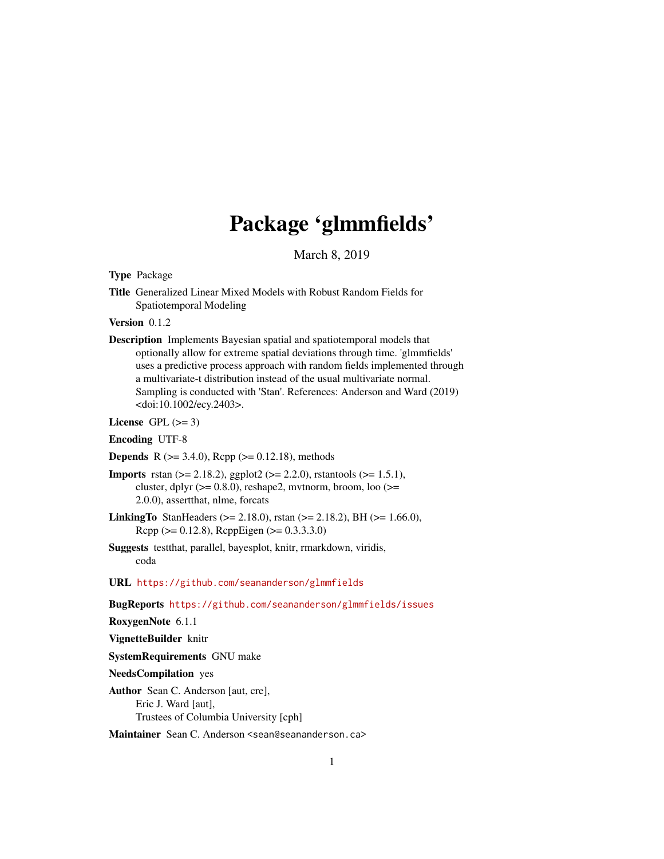# Package 'glmmfields'

March 8, 2019

<span id="page-0-0"></span>Type Package

Title Generalized Linear Mixed Models with Robust Random Fields for Spatiotemporal Modeling

Version 0.1.2

Description Implements Bayesian spatial and spatiotemporal models that optionally allow for extreme spatial deviations through time. 'glmmfields' uses a predictive process approach with random fields implemented through a multivariate-t distribution instead of the usual multivariate normal. Sampling is conducted with 'Stan'. References: Anderson and Ward (2019) <doi:10.1002/ecy.2403>.

License GPL  $(>= 3)$ 

Encoding UTF-8

**Depends** R ( $>= 3.4.0$ ), Rcpp ( $>= 0.12.18$ ), methods

- **Imports** rstan ( $>= 2.18.2$ ), ggplot2 ( $>= 2.2.0$ ), rstantools ( $>= 1.5.1$ ), cluster, dplyr  $(>= 0.8.0)$ , reshape2, mvtnorm, broom, loo  $(>=$ 2.0.0), assertthat, nlme, forcats
- **LinkingTo** StanHeaders ( $>= 2.18.0$ ), rstan ( $>= 2.18.2$ ), BH ( $>= 1.66.0$ ),  $Rcpp (> = 0.12.8)$ ,  $RcppEigen (> = 0.3.3.3.0)$
- Suggests testthat, parallel, bayesplot, knitr, rmarkdown, viridis, coda
- URL <https://github.com/seananderson/glmmfields>

BugReports <https://github.com/seananderson/glmmfields/issues>

RoxygenNote 6.1.1

VignetteBuilder knitr

SystemRequirements GNU make

NeedsCompilation yes

Author Sean C. Anderson [aut, cre], Eric J. Ward [aut], Trustees of Columbia University [cph]

Maintainer Sean C. Anderson <sean@seananderson.ca>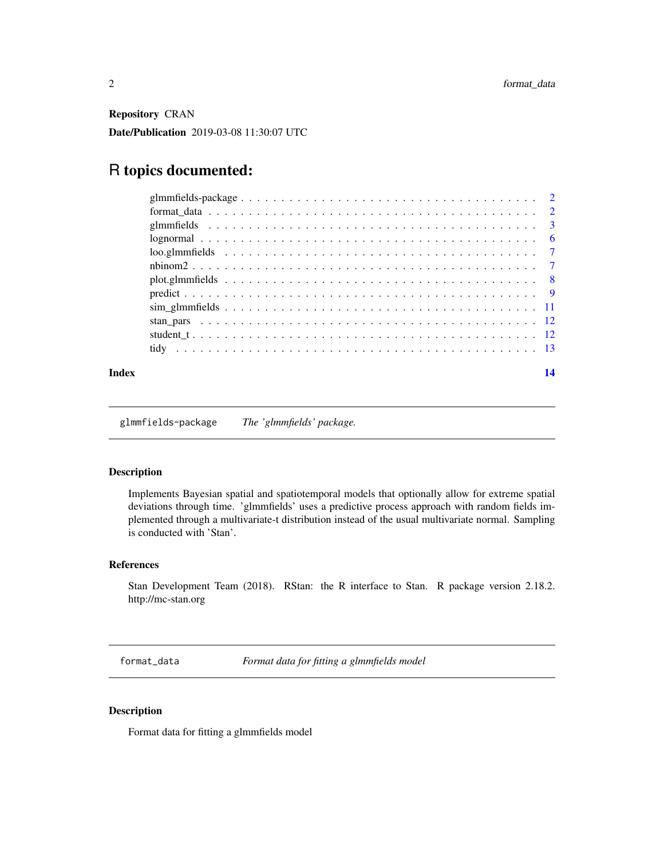<span id="page-1-0"></span>Repository CRAN

Date/Publication 2019-03-08 11:30:07 UTC

# R topics documented:

#### **Index** 2008 **[14](#page-13-0)**

glmmfields-package *The 'glmmfields' package.*

#### Description

Implements Bayesian spatial and spatiotemporal models that optionally allow for extreme spatial deviations through time. 'glmmfields' uses a predictive process approach with random fields implemented through a multivariate-t distribution instead of the usual multivariate normal. Sampling is conducted with 'Stan'.

#### References

Stan Development Team (2018). RStan: the R interface to Stan. R package version 2.18.2. http://mc-stan.org

format\_data *Format data for fitting a glmmfields model*

#### Description

Format data for fitting a glmmfields model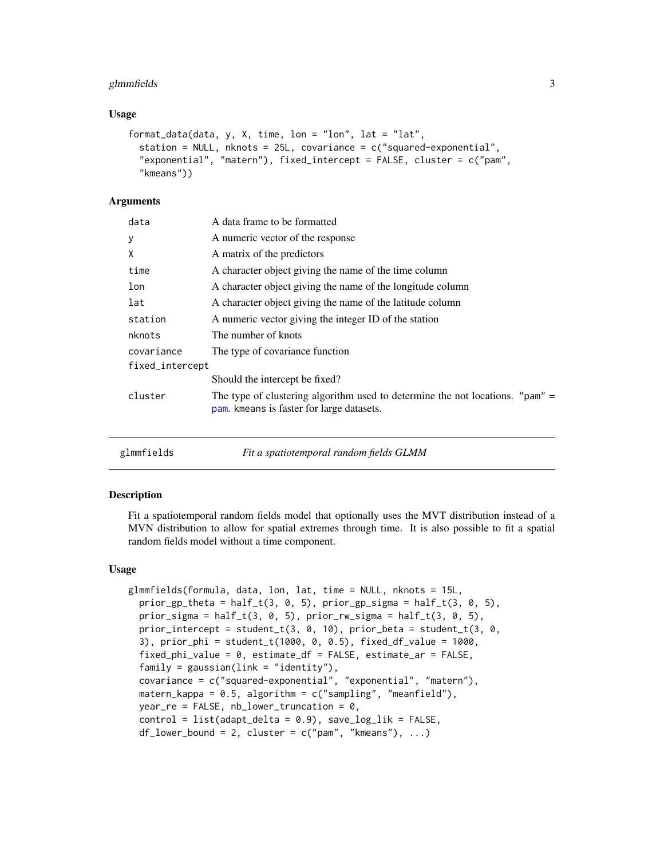#### <span id="page-2-0"></span>glmmfields 3

#### Usage

```
format_data(data, y, X, time, lon = "lon", lat = "lat",
  station = NULL, nknots = 25L, covariance = c ("squared-exponential",
  "exponential", "matern"), fixed_intercept = FALSE, cluster = c("pam",
  "kmeans"))
```
#### Arguments

| data            | A data frame to be formatted                                                                                                   |  |
|-----------------|--------------------------------------------------------------------------------------------------------------------------------|--|
| У               | A numeric vector of the response                                                                                               |  |
| X               | A matrix of the predictors                                                                                                     |  |
| time            | A character object giving the name of the time column                                                                          |  |
| lon             | A character object giving the name of the longitude column                                                                     |  |
| lat             | A character object giving the name of the latitude column                                                                      |  |
| station         | A numeric vector giving the integer ID of the station                                                                          |  |
| nknots          | The number of knots                                                                                                            |  |
| covariance      | The type of covariance function                                                                                                |  |
| fixed_intercept |                                                                                                                                |  |
|                 | Should the intercept be fixed?                                                                                                 |  |
| cluster         | The type of clustering algorithm used to determine the not locations. " $pam$ " =<br>pam. kmeans is faster for large datasets. |  |
|                 |                                                                                                                                |  |

<span id="page-2-1"></span>

glmmfields *Fit a spatiotemporal random fields GLMM*

#### Description

Fit a spatiotemporal random fields model that optionally uses the MVT distribution instead of a MVN distribution to allow for spatial extremes through time. It is also possible to fit a spatial random fields model without a time component.

#### Usage

```
glmmfields(formula, data, lon, lat, time = NULL, nknots = 15L,
 prior\_gp_{theta = half_t(3, 0, 5), prior\_gp_{sigma = half_t(3, 0, 5),prior_sigma = half_t(3, 0, 5), prior_rw_sigma = half_t(3, 0, 5),
 prior_intercept = student_t(3, 0, 10), prior_beta = student_t(3, 0,
  3), prior_phi = student_t(1000, 0, 0.5), fixed_df_value = 1000,
  fixed_phi_value = 0, estimate_df = FALSE, estimate_ar = FALSE,
  family = gaussian(link = "identity"),
 covariance = c("squared-exponential", "exponential", "matern"),
 matern_kappa = 0.5, algorithm = c("sampling", "meanfield"),
 year_re = FALSE, nb_lower_truncation = 0,control = list(adapt\_delta = 0.9), save\_log\_lik = FALSE,
  df_lower_bound = 2, cluster = c("pam", "kmeans"), ...
```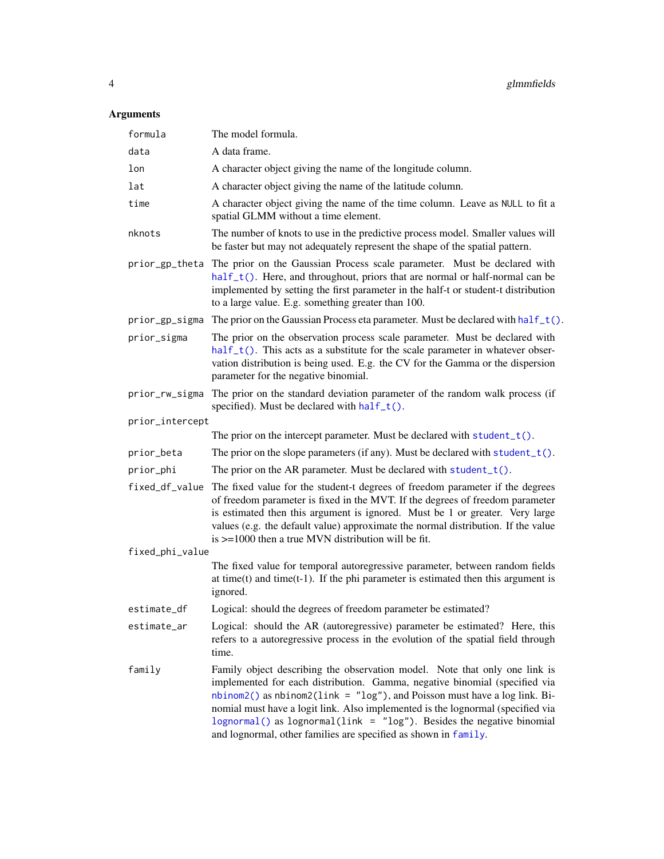# <span id="page-3-0"></span>Arguments

| formula         | The model formula.                                                                                                                                                                                                                                                                                                                                                                                                                                                             |  |
|-----------------|--------------------------------------------------------------------------------------------------------------------------------------------------------------------------------------------------------------------------------------------------------------------------------------------------------------------------------------------------------------------------------------------------------------------------------------------------------------------------------|--|
| data            | A data frame.                                                                                                                                                                                                                                                                                                                                                                                                                                                                  |  |
| lon             | A character object giving the name of the longitude column.                                                                                                                                                                                                                                                                                                                                                                                                                    |  |
| lat             | A character object giving the name of the latitude column.                                                                                                                                                                                                                                                                                                                                                                                                                     |  |
| time            | A character object giving the name of the time column. Leave as NULL to fit a<br>spatial GLMM without a time element.                                                                                                                                                                                                                                                                                                                                                          |  |
| nknots          | The number of knots to use in the predictive process model. Smaller values will<br>be faster but may not adequately represent the shape of the spatial pattern.                                                                                                                                                                                                                                                                                                                |  |
| prior_gp_theta  | The prior on the Gaussian Process scale parameter. Must be declared with<br>$half_t()$ . Here, and throughout, priors that are normal or half-normal can be<br>implemented by setting the first parameter in the half-t or student-t distribution<br>to a large value. E.g. something greater than 100.                                                                                                                                                                        |  |
| prior_gp_sigma  | The prior on the Gaussian Process eta parameter. Must be declared with half_t().                                                                                                                                                                                                                                                                                                                                                                                               |  |
| prior_sigma     | The prior on the observation process scale parameter. Must be declared with<br>$half_t()$ . This acts as a substitute for the scale parameter in whatever obser-<br>vation distribution is being used. E.g. the CV for the Gamma or the dispersion<br>parameter for the negative binomial.                                                                                                                                                                                     |  |
| prior_rw_sigma  | The prior on the standard deviation parameter of the random walk process (if<br>specified). Must be declared with half_t().                                                                                                                                                                                                                                                                                                                                                    |  |
| prior_intercept |                                                                                                                                                                                                                                                                                                                                                                                                                                                                                |  |
|                 | The prior on the intercept parameter. Must be declared with $student_t()$ .                                                                                                                                                                                                                                                                                                                                                                                                    |  |
| prior_beta      | The prior on the slope parameters (if any). Must be declared with student_t().                                                                                                                                                                                                                                                                                                                                                                                                 |  |
| prior_phi       | The prior on the AR parameter. Must be declared with $student_t()$ .                                                                                                                                                                                                                                                                                                                                                                                                           |  |
| fixed_df_value  | The fixed value for the student-t degrees of freedom parameter if the degrees<br>of freedom parameter is fixed in the MVT. If the degrees of freedom parameter<br>is estimated then this argument is ignored. Must be 1 or greater. Very large<br>values (e.g. the default value) approximate the normal distribution. If the value<br>is $\ge$ =1000 then a true MVN distribution will be fit.                                                                                |  |
| fixed_phi_value |                                                                                                                                                                                                                                                                                                                                                                                                                                                                                |  |
|                 | The fixed value for temporal autoregressive parameter, between random fields<br>at time $(t)$ and time $(t-1)$ . If the phi parameter is estimated then this argument is<br>ignored.                                                                                                                                                                                                                                                                                           |  |
| estimate_df     | Logical: should the degrees of freedom parameter be estimated?                                                                                                                                                                                                                                                                                                                                                                                                                 |  |
| estimate_ar     | Logical: should the AR (autoregressive) parameter be estimated? Here, this<br>refers to a autoregressive process in the evolution of the spatial field through<br>time.                                                                                                                                                                                                                                                                                                        |  |
| family          | Family object describing the observation model. Note that only one link is<br>implemented for each distribution. Gamma, negative binomial (specified via<br>$nbinom2()$ as $nbinom2(1ink = "log")$ , and Poisson must have a log link. Bi-<br>nomial must have a logit link. Also implemented is the lognormal (specified via<br>$lognormal()$ as $lognormal(line = "log")$ . Besides the negative binomial<br>and lognormal, other families are specified as shown in family. |  |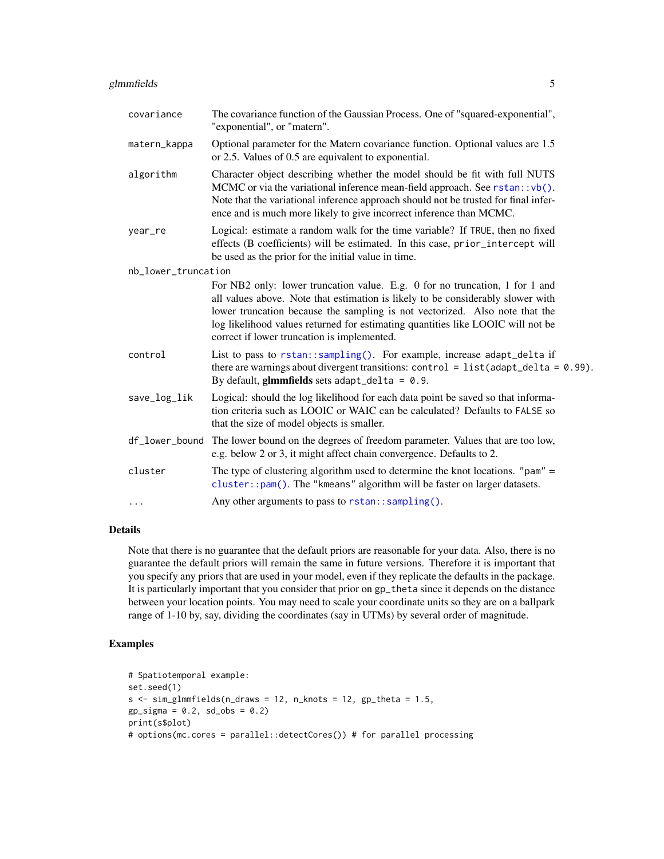#### <span id="page-4-0"></span>glmmfields 5

| covariance          | The covariance function of the Gaussian Process. One of "squared-exponential",<br>"exponential", or "matern".                                                                                                                                                                                                                                                                   |  |
|---------------------|---------------------------------------------------------------------------------------------------------------------------------------------------------------------------------------------------------------------------------------------------------------------------------------------------------------------------------------------------------------------------------|--|
| matern_kappa        | Optional parameter for the Matern covariance function. Optional values are 1.5<br>or 2.5. Values of 0.5 are equivalent to exponential.                                                                                                                                                                                                                                          |  |
| algorithm           | Character object describing whether the model should be fit with full NUTS<br>MCMC or via the variational inference mean-field approach. See rstan:: vb().<br>Note that the variational inference approach should not be trusted for final infer-<br>ence and is much more likely to give incorrect inference than MCMC.                                                        |  |
| year_re             | Logical: estimate a random walk for the time variable? If TRUE, then no fixed<br>effects (B coefficients) will be estimated. In this case, prior_intercept will<br>be used as the prior for the initial value in time.                                                                                                                                                          |  |
| nb_lower_truncation |                                                                                                                                                                                                                                                                                                                                                                                 |  |
|                     | For NB2 only: lower truncation value. E.g. 0 for no truncation, 1 for 1 and<br>all values above. Note that estimation is likely to be considerably slower with<br>lower truncation because the sampling is not vectorized. Also note that the<br>log likelihood values returned for estimating quantities like LOOIC will not be<br>correct if lower truncation is implemented. |  |
| control             | List to pass to rstan::sampling(). For example, increase adapt_delta if<br>there are warnings about divergent transitions: control = $list$ (adapt_delta = 0.99).<br>By default, glmmfields sets adapt_delta = $0.9$ .                                                                                                                                                          |  |
| save_log_lik        | Logical: should the log likelihood for each data point be saved so that informa-<br>tion criteria such as LOOIC or WAIC can be calculated? Defaults to FALSE so<br>that the size of model objects is smaller.                                                                                                                                                                   |  |
|                     | df_lower_bound The lower bound on the degrees of freedom parameter. Values that are too low,<br>e.g. below 2 or 3, it might affect chain convergence. Defaults to 2.                                                                                                                                                                                                            |  |
| cluster             | The type of clustering algorithm used to determine the knot locations. " $pam$ " =<br>cluster::pam(). The "kmeans" algorithm will be faster on larger datasets.                                                                                                                                                                                                                 |  |
| $\cdots$            | Any other arguments to pass to rstan::sampling().                                                                                                                                                                                                                                                                                                                               |  |

#### Details

Note that there is no guarantee that the default priors are reasonable for your data. Also, there is no guarantee the default priors will remain the same in future versions. Therefore it is important that you specify any priors that are used in your model, even if they replicate the defaults in the package. It is particularly important that you consider that prior on gp\_theta since it depends on the distance between your location points. You may need to scale your coordinate units so they are on a ballpark range of 1-10 by, say, dividing the coordinates (say in UTMs) by several order of magnitude.

## Examples

```
# Spatiotemporal example:
set.seed(1)
s \leq \text{sim\_glmmfields(n\_draws = 12, n_knots = 12, gp_theta = 1.5,gp\_sigma = 0.2, sd\_obs = 0.2print(s$plot)
# options(mc.cores = parallel::detectCores()) # for parallel processing
```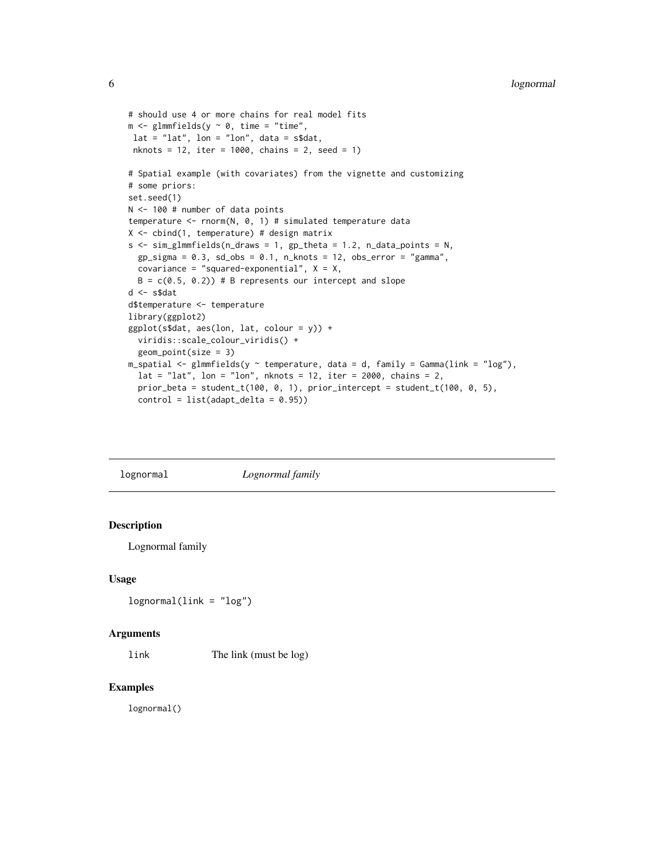```
# should use 4 or more chains for real model fits
m \leq glmmfields(y \sim 0, time = "time",
lat = "lat", lon = "lon", data = s$dat,nknots = 12, iter = 1000, chains = 2, seed = 1)
# Spatial example (with covariates) from the vignette and customizing
# some priors:
set.seed(1)
N <- 100 # number of data points
temperature <- rnorm(N, 0, 1) # simulated temperature data
X <- cbind(1, temperature) # design matrix
s <- sim_glmmfields(n_draws = 1, gp_theta = 1.2, n_data_points = N,
  gp\_sigma = 0.3, sd\_obs = 0.1, n\_knots = 12, obs\_error = "gamma",covariance = "squared-exponential", X = X,
  B = c(0.5, 0.2) # B represents our intercept and slope
d <- s$dat
d$temperature <- temperature
library(ggplot2)
ggplot(s$dat, aes(lon, lat, colour = y)) +
  viridis::scale_colour_viridis() +
  geom_point(size = 3)
m_spatial <- glmmfields(y ~ temperature, data = d, family = Gamma(link = "log"),
  lat = "lat", lon = "lon", nknots = 12, iter = 2000, chains = 2,
  prior_beta = student_t(100, 0, 1), prior_intercept = student_t(100, 0, 5),
  control = list(adapt_delta = 0.95))
```
<span id="page-5-1"></span>lognormal *Lognormal family*

#### **Description**

Lognormal family

#### Usage

```
lognormal(link = "log")
```
#### Arguments

link The link (must be log)

#### Examples

lognormal()

<span id="page-5-0"></span>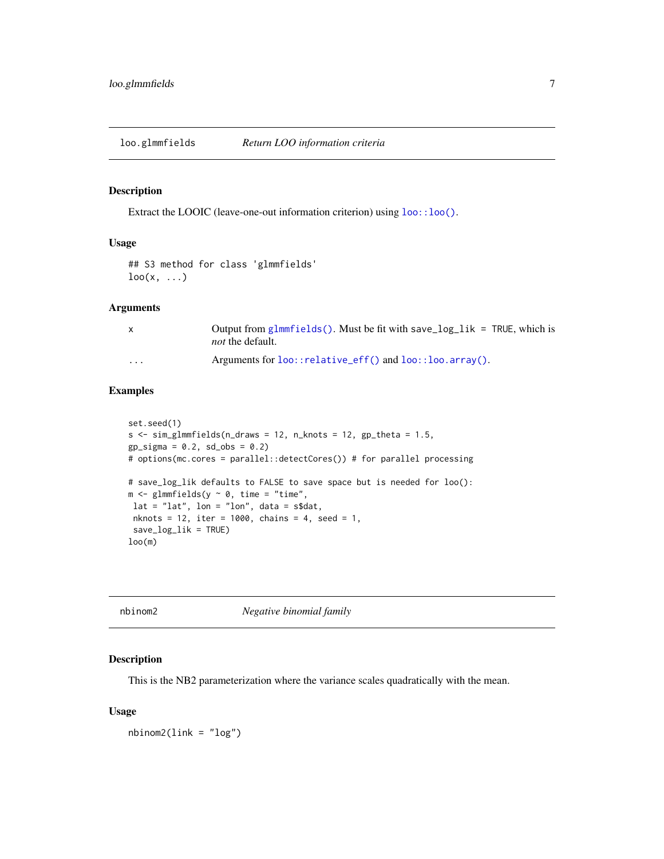<span id="page-6-0"></span>loo.glmmfields *Return LOO information criteria*

#### Description

Extract the LOOIC (leave-one-out information criterion) using  $loo::loo()$ .

#### Usage

```
## S3 method for class 'glmmfields'
\text{loo}(x, \ldots)
```
#### Arguments

|   | Output from glmmfields(). Must be fit with save_log_lik = TRUE, which is<br><i>not</i> the default. |
|---|-----------------------------------------------------------------------------------------------------|
| . | Arguments for $loo::relative\_eff()$ and $loo::loo.array()$ .                                       |

#### Examples

```
set.seed(1)
s \leq \text{sim\_glmmfields(n\_draws = 12, n_knots = 12, gp_theta = 1.5,gp\_sigma = 0.2, sd\_obs = 0.2# options(mc.cores = parallel::detectCores()) # for parallel processing
# save_log_lik defaults to FALSE to save space but is needed for loo():
m \leq -glmmfields(y \sim 0, time = "time",
lat = "lat", lon = "lon", data = s$dat,nknots = 12, iter = 1000, chains = 4, seed = 1,
 save_log_lik = TRUE)
loop(m)
```
<span id="page-6-1"></span>

| nbinom2 | Negative binomial family |  |
|---------|--------------------------|--|
|         |                          |  |

#### Description

This is the NB2 parameterization where the variance scales quadratically with the mean.

#### Usage

nbinom2(link = "log")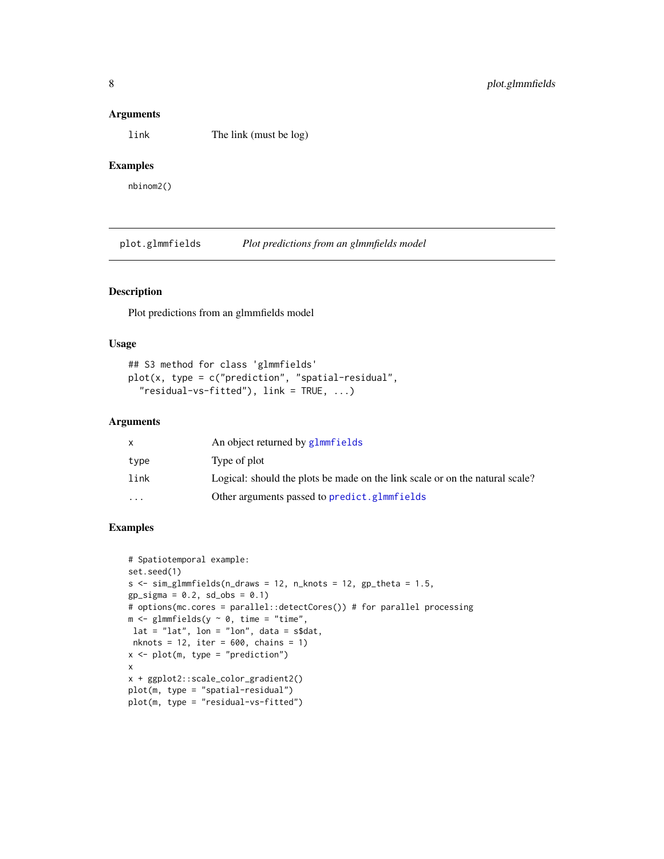#### <span id="page-7-0"></span>**Arguments**

link The link (must be log)

#### Examples

nbinom2()

plot.glmmfields *Plot predictions from an glmmfields model*

#### Description

Plot predictions from an glmmfields model

#### Usage

```
## S3 method for class 'glmmfields'
plot(x, type = c("prediction", "spatial-residual",
  "residual-vs-fitted"), link = TRUE, ...)
```
#### Arguments

|           | An object returned by glmmfields                                             |
|-----------|------------------------------------------------------------------------------|
| type      | Type of plot                                                                 |
| link      | Logical: should the plots be made on the link scale or on the natural scale? |
| $\ddotsc$ | Other arguments passed to predict, glmm fields                               |
|           |                                                                              |

#### Examples

```
# Spatiotemporal example:
set.seed(1)
s \leq \text{sim\_glmmfields(n\_draws = 12, n_knots = 12, gp_theta = 1.5,gp\_sigma = 0.2, sd\_obs = 0.1# options(mc.cores = parallel::detectCores()) # for parallel processing
m \leq -glmmfields(y \sim 0, time = "time",
lat = "lat", lon = "lon", data = s$dat,nknots = 12, iter = 600, chains = 1)
x \leq plot(m, type = "prediction")x
x + ggplot2::scale_color_gradient2()
plot(m, type = "spatial-residual")
plot(m, type = "residual-vs-fitted")
```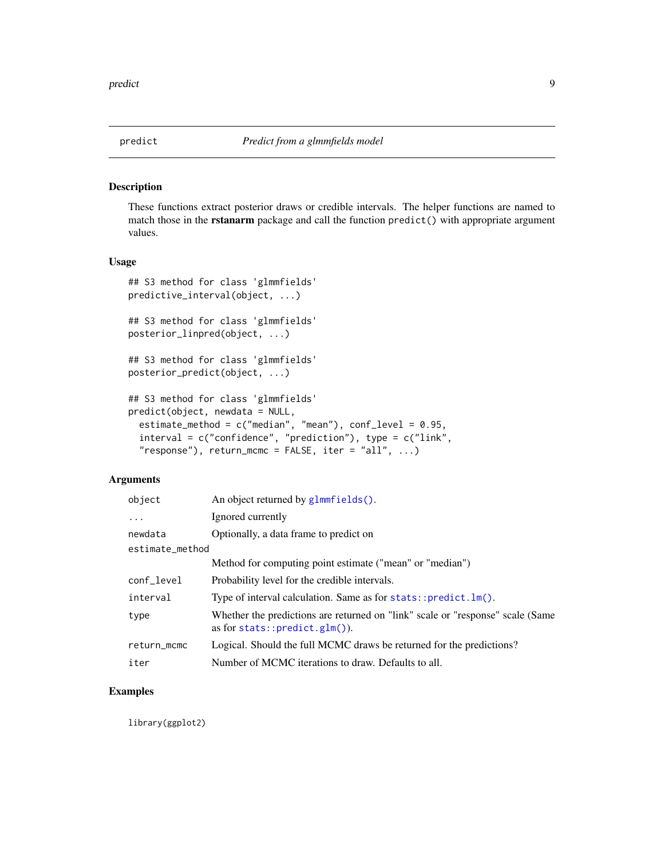<span id="page-8-0"></span>

#### <span id="page-8-1"></span>Description

These functions extract posterior draws or credible intervals. The helper functions are named to match those in the rstanarm package and call the function predict() with appropriate argument values.

#### Usage

```
## S3 method for class 'glmmfields'
predictive_interval(object, ...)
## S3 method for class 'glmmfields'
posterior_linpred(object, ...)
## S3 method for class 'glmmfields'
posterior_predict(object, ...)
## S3 method for class 'glmmfields'
predict(object, newdata = NULL,
  estimate_method = c("median", "mean"), conf_level = 0.95,
  interval = c("confidence", "prediction"), type = c("link",
  "response"), return_mcmc = FALSE, iter = "all", ...
```
#### Arguments

| An object returned by glmmfields().                                                                                |  |
|--------------------------------------------------------------------------------------------------------------------|--|
| Ignored currently                                                                                                  |  |
| Optionally, a data frame to predict on                                                                             |  |
| estimate_method                                                                                                    |  |
| Method for computing point estimate ("mean" or "median")                                                           |  |
| Probability level for the credible intervals.                                                                      |  |
| Type of interval calculation. Same as for $stats::predict.lm()$ .                                                  |  |
| Whether the predictions are returned on "link" scale or "response" scale (Same<br>as for stats:: $predict.glm()$ . |  |
| Logical. Should the full MCMC draws be returned for the predictions?                                               |  |
| Number of MCMC iterations to draw. Defaults to all.                                                                |  |
|                                                                                                                    |  |

### Examples

library(ggplot2)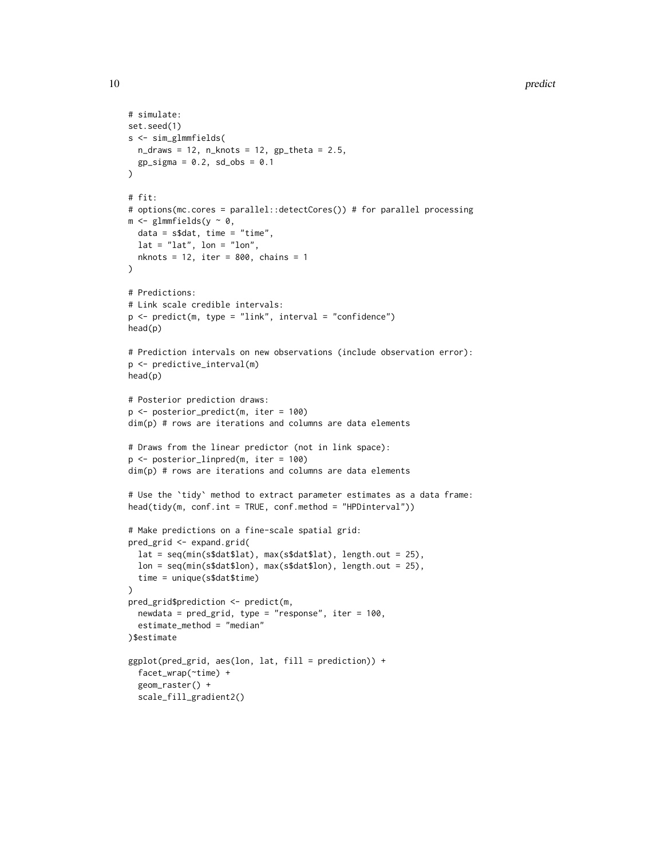```
# simulate:
set.seed(1)
s <- sim_glmmfields(
 n_{\text{max}} = 12, n_{\text{max}} = 12, gp_{\text{max}} = 2.5,
  gp\_sigma = 0.2, sd\_obs = 0.1\lambda# fit:
# options(mc.cores = parallel::detectCores()) # for parallel processing
m \leq -glmmfields(y ~ 0,
  data = s$dat, time = "time",
  lat = "lat", lon = "lon",nknots = 12, iter = 800, chains = 1
)
# Predictions:
# Link scale credible intervals:
p <- predict(m, type = "link", interval = "confidence")
head(p)
# Prediction intervals on new observations (include observation error):
p <- predictive_interval(m)
head(p)
# Posterior prediction draws:
p <- posterior_predict(m, iter = 100)
dim(p) # rows are iterations and columns are data elements
# Draws from the linear predictor (not in link space):
p <- posterior_linpred(m, iter = 100)
dim(p) # rows are iterations and columns are data elements
# Use the `tidy` method to extract parameter estimates as a data frame:
head(tidy(m, conf.int = TRUE, conf.method = "HPDinterval"))
# Make predictions on a fine-scale spatial grid:
pred_grid <- expand.grid(
  lat = seq(min(s$dat$lat), max(s$dat$lat), length.out = 25),
  lon = seq(min(s$dat$lon), max(s$dat$lon), length.out = 25),
  time = unique(s$dat$time)
)
pred_grid$prediction <- predict(m,
  newdata = pred_grid, type = "response", iter = 100,
  estimate_method = "median"
)$estimate
ggplot(pred_grid, aes(lon, lat, fill = prediction)) +
  facet_wrap(~time) +
  geom_raster() +
  scale_fill_gradient2()
```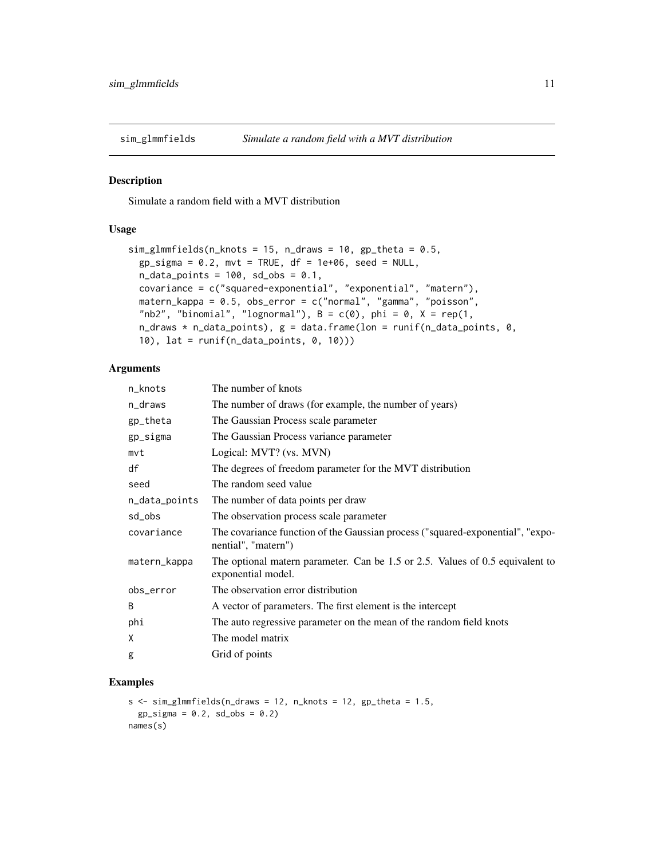<span id="page-10-0"></span>

#### Description

Simulate a random field with a MVT distribution

#### Usage

```
sim\_glmmfields(n_knots = 15, n_draws = 10, gp_theta = 0.5,gp\_sigma = 0.2, mvt = TRUE, df = 1e+06, seed = NULL,
 n\_data\_points = 100, sd\_obs = 0.1,
 covariance = c("squared-exponential", "exponential", "matern"),
 matern_kappa = 0.5, obs_error = c("normal", "gamma", "poisson",
  "nb2", "binomial", "lognormal"), B = c(0), phi = 0, X = rep(1,
  n_{\text{max}} \cdot n_{\text{data\_points}}, g = data-frame(lon = runif(n_{\text{data\_points}}, 0,10), lat = runif(n_data_points, 0, 10)))
```
#### Arguments

| n_knots       | The number of knots                                                                                   |  |
|---------------|-------------------------------------------------------------------------------------------------------|--|
| n_draws       | The number of draws (for example, the number of years)                                                |  |
| gp_theta      | The Gaussian Process scale parameter                                                                  |  |
| gp_sigma      | The Gaussian Process variance parameter                                                               |  |
| mvt           | Logical: MVT? (vs. MVN)                                                                               |  |
| df            | The degrees of freedom parameter for the MVT distribution                                             |  |
| seed          | The random seed value                                                                                 |  |
| n_data_points | The number of data points per draw                                                                    |  |
| sd_obs        | The observation process scale parameter                                                               |  |
| covariance    | The covariance function of the Gaussian process ("squared-exponential", "expo-<br>nential", "matern") |  |
| matern_kappa  | The optional matern parameter. Can be 1.5 or 2.5. Values of 0.5 equivalent to<br>exponential model.   |  |
| obs_error     | The observation error distribution                                                                    |  |
| B             | A vector of parameters. The first element is the intercept                                            |  |
| phi           | The auto regressive parameter on the mean of the random field knots                                   |  |
| X             | The model matrix                                                                                      |  |
| g             | Grid of points                                                                                        |  |

#### Examples

```
s \leq \text{sim\_glmmfields}(n_{\text{d}}) = 12, n_knots = 12, gp_theta = 1.5,
  gp\_sigma = 0.2, sd\_obs = 0.2names(s)
```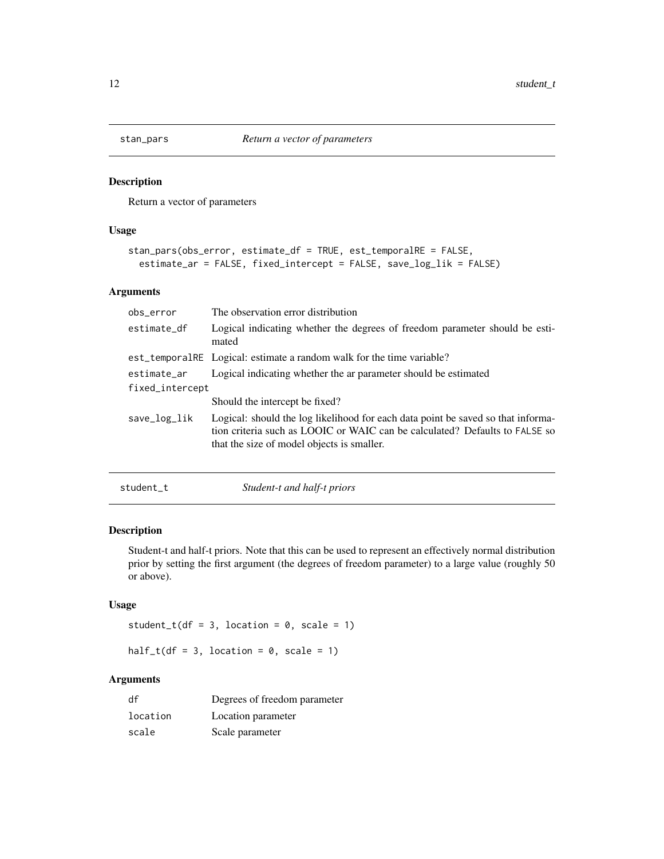<span id="page-11-0"></span>

#### Description

Return a vector of parameters

#### Usage

```
stan_pars(obs_error, estimate_df = TRUE, est_temporalRE = FALSE,
 estimate_ar = FALSE, fixed_intercept = FALSE, save_log_lik = FALSE)
```
#### Arguments

| obs_error       | The observation error distribution                                                                                                                                                                            |  |
|-----------------|---------------------------------------------------------------------------------------------------------------------------------------------------------------------------------------------------------------|--|
| estimate df     | Logical indicating whether the degrees of freedom parameter should be esti-<br>mated                                                                                                                          |  |
|                 | est_temporalRE Logical: estimate a random walk for the time variable?                                                                                                                                         |  |
| estimate_ar     | Logical indicating whether the ar parameter should be estimated                                                                                                                                               |  |
| fixed_intercept |                                                                                                                                                                                                               |  |
|                 | Should the intercept be fixed?                                                                                                                                                                                |  |
| save_log_lik    | Logical: should the log likelihood for each data point be saved so that informa-<br>tion criteria such as LOOIC or WAIC can be calculated? Defaults to FALSE so<br>that the size of model objects is smaller. |  |
|                 |                                                                                                                                                                                                               |  |

<span id="page-11-2"></span>student\_t *Student-t and half-t priors*

#### <span id="page-11-1"></span>Description

Student-t and half-t priors. Note that this can be used to represent an effectively normal distribution prior by setting the first argument (the degrees of freedom parameter) to a large value (roughly 50 or above).

#### Usage

```
student_t(df = 3, location = 0, scale = 1)
```
half\_t(df = 3, location =  $0$ , scale = 1)

#### Arguments

| df       | Degrees of freedom parameter |
|----------|------------------------------|
| location | Location parameter           |
| scale    | Scale parameter              |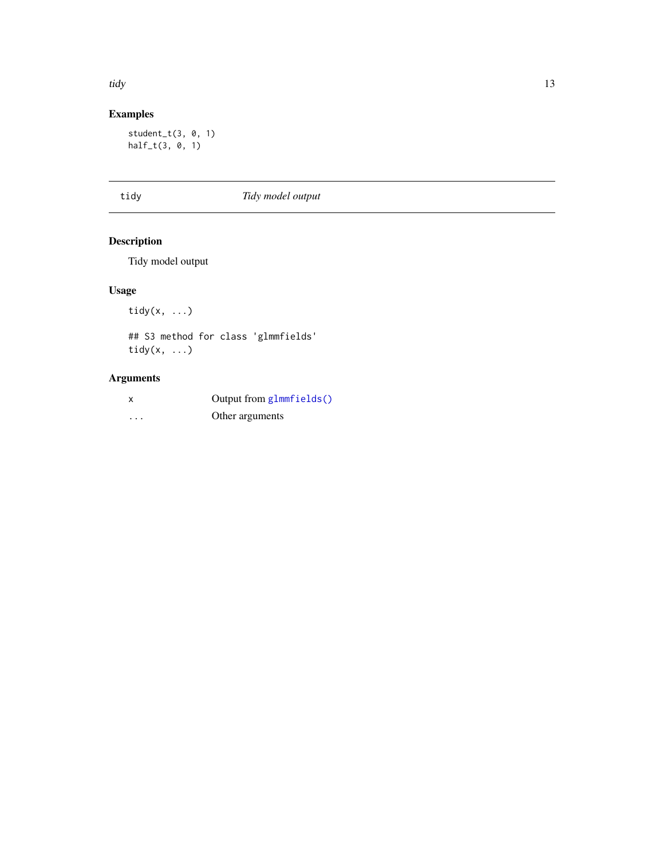#### <span id="page-12-0"></span>tidy the contract of the contract of the contract of the contract of the contract of the contract of the contract of the contract of the contract of the contract of the contract of the contract of the contract of the contr

# Examples

student\_t(3, 0, 1) half\_t(3, 0, 1)

tidy *Tidy model output*

## Description

Tidy model output

#### Usage

tidy $(x, \ldots)$ 

## S3 method for class 'glmmfields' tidy(x, ...)

# Arguments

| x        | Output from glmmfields() |
|----------|--------------------------|
| $\cdots$ | Other arguments          |